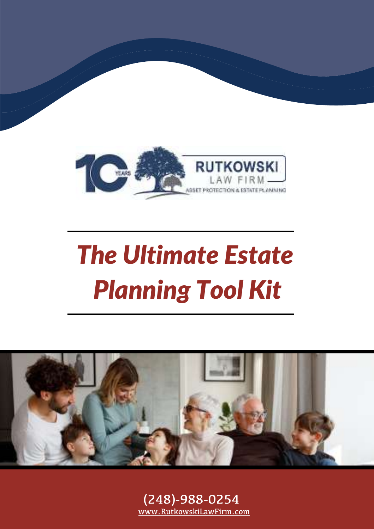

# *The Ultimate Estate Planning Tool Kit*



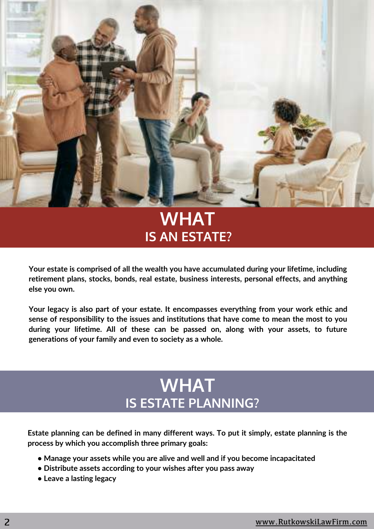

#### **IS AN ESTATE? WHAT**

**Your estate is comprised of all the wealth you have accumulated during your lifetime, including retirement plans, stocks, bonds, real estate, business interests, personal effects, and anything else you own.**

**Your legacy is also part of your estate. It encompasses everything from your work ethic and sense of responsibility to the issues and institutions that have come to mean the most to you during your lifetime. All of these can be passed on, along with your assets, to future generations of your family and even to society as a whole.**

#### **WHAT IS ESTATE PLANNING?**

**Estate planning can be defined in many different ways. To put it simply, estate planning is the process by which you accomplish three primary goals:**

- **• Manage your assets while you are alive and well and if you become incapacitated**
- **• Distribute assets according to your wishes after you pass away**
- **• Leave a lasting legacy**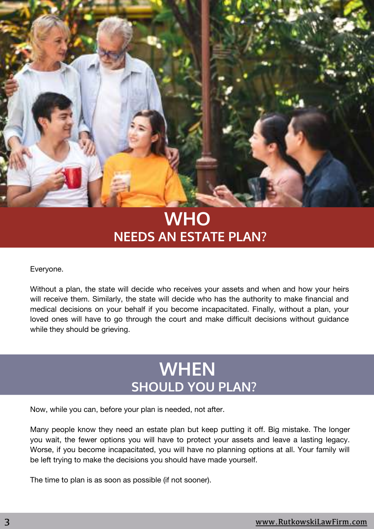

#### **NEEDS AN ESTATE PLAN? WHO**

Everyone.

Without a plan, the state will decide who receives your assets and when and how your heirs will receive them. Similarly, the state will decide who has the authority to make financial and medical decisions on your behalf if you become incapacitated. Finally, without a plan, your loved ones will have to go through the court and make difficult decisions without guidance while they should be grieving.

#### **WHEN SHOULD YOU PLAN?**

Now, while you can, before your plan is needed, not after.

Many people know they need an estate plan but keep putting it off. Big mistake. The longer you wait, the fewer options you will have to protect your assets and leave a lasting legacy. Worse, if you become incapacitated, you will have no planning options at all. Your family will be left trying to make the decisions you should have made yourself.

The time to plan is as soon as possible (if not sooner).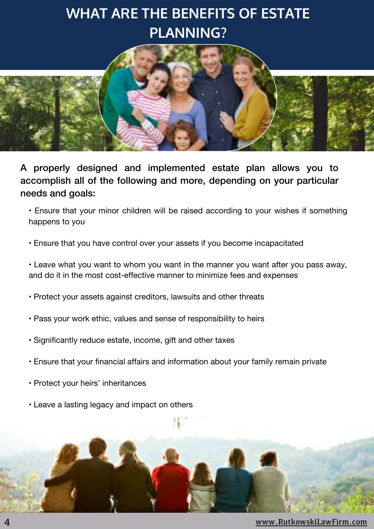#### **WHAT ARE THE BENEFITS OF ESTATE PLANNING?**



A properly designed and implemented estate plan allows you to accomplish all of the following and more, depending on your particular needs and goals:

• Ensure that your minor children will be raised according to your wishes if something happens to you

• Ensure that you have control over your assets if you become incapacitated

• Leave what you want to whom you want in the manner you want after you pass away, and do it in the most cost-effective manner to minimize fees and expenses

- Protect your assets against creditors, lawsuits and other threats
- Pass your work ethic, values and sense of responsibility to heirs
- Significantly reduce estate, income, gift and other taxes
- Ensure that your financial affairs and information about your family remain private
- Protect your heirs' inheritances
- Leave a lasting legacy and impact on others



4 [www.RutkowskiLawFirm.com](https://rutkowskilawfirm.com/)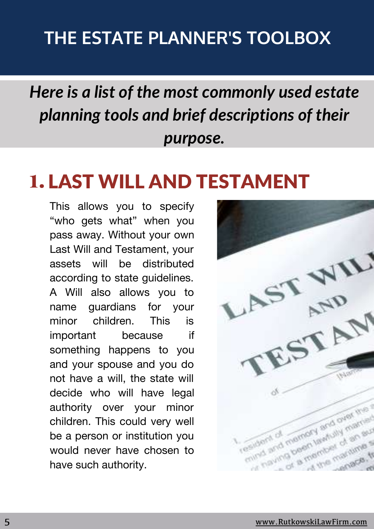#### **THE ESTATE PLANNER'S TOOLBOX**

### *Here is a list of the most commonly used estate planning tools and brief descriptions of their purpose.*

## 1. LAST WILL AND TESTAMENT

This allows you to specify "who gets what" when you pass away. Without your own Last Will and Testament, your assets will be distributed according to state guidelines. A Will also allows you to name guardians for your minor children. This is important because if something happens to you and your spouse and you do not have a will, the state will decide who will have legal authority over your minor children. This could very well be a person or institution you would never have chosen to have such authority.

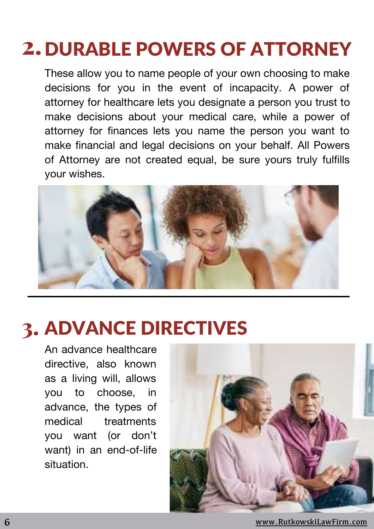## 2. DURABLE POWERS OF ATTORNEY

These allow you to name people of your own choosing to make decisions for you in the event of incapacity. A power of attorney for healthcare lets you designate a person you trust to make decisions about your medical care, while a power of attorney for finances lets you name the person you want to make financial and legal decisions on your behalf. All Powers of Attorney are not created equal, be sure yours truly fulfills your wishes.



## 3. ADVANCE DIRECTIVES

An advance healthcare directive, also known as a living will, allows you to choose, in advance, the types of medical treatments you want (or don't want) in an end-of-life situation.



6 [www.RutkowskiLawFirm.com](https://rutkowskilawfirm.com/)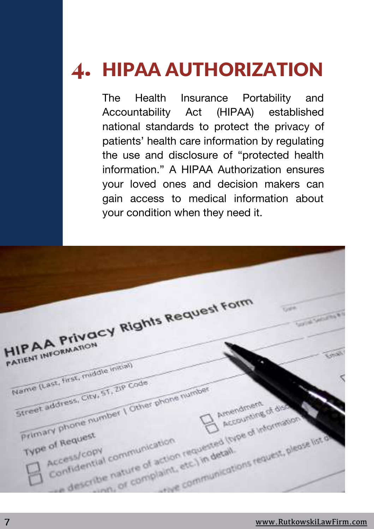# 4. HIPAA AUTHORIZATION

The Health Insurance Portability and Accountability Act (HIPAA) established national standards to protect the privacy of patients' health care information by regulating the use and disclosure of "protected health information." A HIPAA Authorization ensures your loved ones and decision makers can gain access to medical information about your condition when they need it.

HIPAA Privacy Rights Request Form  $\overline{\text{C}}$ **HIPAA PIVOR** Name (Last, first, middle initial) Name (Last, first, middle)<br>Street address, City, 51, 219 Code Friend (Last, first, City, 51, 210 Code<br>Street: address, City, 51, 210 Code<br>Frimary phone number | Other phone number Amendment mendment of dis hore number<br>equest<br>ess/copy communication requested inped information of the distance of the distance of the distance of the distance of the distance of the distance of the distance of the distance of the distance of the d **Primary photogest** che communications request, please list o of Request<br>access/copy<br>confidential communication access/copy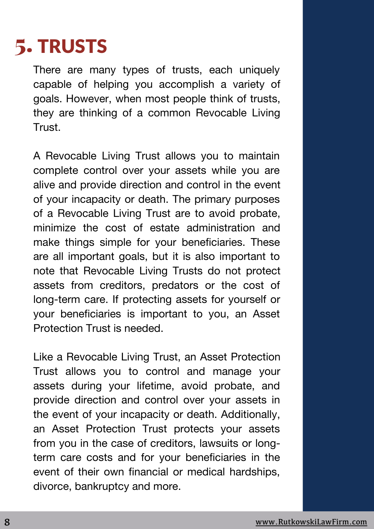## 5. TRUSTS

There are many types of trusts, each uniquely capable of helping you accomplish a variety of goals. However, when most people think of trusts, they are thinking of a common Revocable Living Trust.

A Revocable Living Trust allows you to maintain complete control over your assets while you are alive and provide direction and control in the event of your incapacity or death. The primary purposes of a Revocable Living Trust are to avoid probate, minimize the cost of estate administration and make things simple for your beneficiaries. These are all important goals, but it is also important to note that Revocable Living Trusts do not protect assets from creditors, predators or the cost of long-term care. If protecting assets for yourself or your beneficiaries is important to you, an Asset Protection Trust is needed.

Like a Revocable Living Trust, an Asset Protection Trust allows you to control and manage your assets during your lifetime, avoid probate, and provide direction and control over your assets in the event of your incapacity or death. Additionally, an Asset Protection Trust protects your assets from you in the case of creditors, lawsuits or longterm care costs and for your beneficiaries in the event of their own financial or medical hardships, divorce, bankruptcy and more.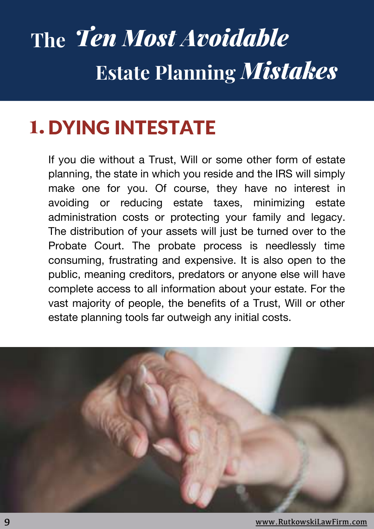# **The** *Ten Most Avoidable* **Estate Planning** *Mistakes*

## **1.** DYING INTESTATE

If you die without a Trust, Will or some other form of estate planning, the state in which you reside and the IRS will simply make one for you. Of course, they have no interest in avoiding or reducing estate taxes, minimizing estate administration costs or protecting your family and legacy. The distribution of your assets will just be turned over to the Probate Court. The probate process is needlessly time consuming, frustrating and expensive. It is also open to the public, meaning creditors, predators or anyone else will have complete access to all information about your estate. For the vast majority of people, the benefits of a Trust, Will or other estate planning tools far outweigh any initial costs.

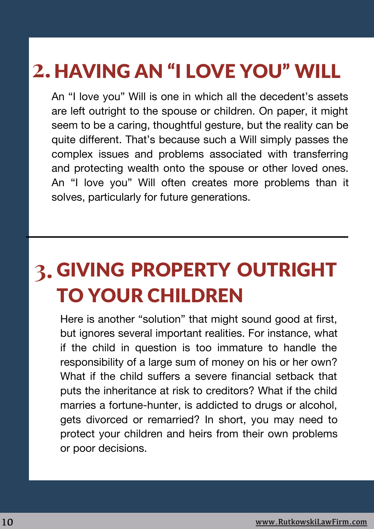## HAVING AN "I LOVE YOU" WILL **2.**

An "I love you" Will is one in which all the decedent's assets are left outright to the spouse or children. On paper, it might seem to be a caring, thoughtful gesture, but the reality can be quite different. That's because such a Will simply passes the complex issues and problems associated with transferring and protecting wealth onto the spouse or other loved ones. An "I love you" Will often creates more problems than it solves, particularly for future generations.

## **3.** GIVING PROPERTY OUTRIGHT TO YOUR CHILDREN

Here is another "solution" that might sound good at first, but ignores several important realities. For instance, what if the child in question is too immature to handle the responsibility of a large sum of money on his or her own? What if the child suffers a severe financial setback that puts the inheritance at risk to creditors? What if the child marries a fortune-hunter, is addicted to drugs or alcohol, gets divorced or remarried? In short, you may need to protect your children and heirs from their own problems or poor decisions.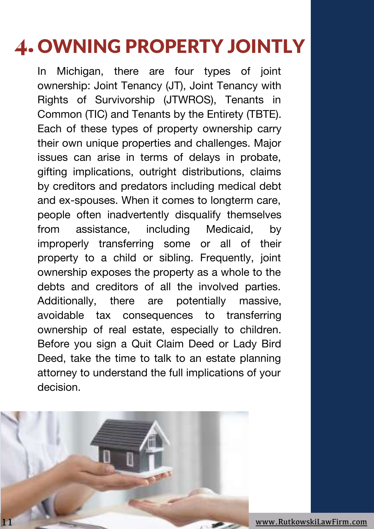## 4. OWNING PROPERTY JOINTLY

In Michigan, there are four types of joint ownership: Joint Tenancy (JT), Joint Tenancy with Rights of Survivorship (JTWROS), Tenants in Common (TIC) and Tenants by the Entirety (TBTE). Each of these types of property ownership carry their own unique properties and challenges. Major issues can arise in terms of delays in probate, gifting implications, outright distributions, claims by creditors and predators including medical debt and ex-spouses. When it comes to longterm care, people often inadvertently disqualify themselves from assistance, including Medicaid, by improperly transferring some or all of their property to a child or sibling. Frequently, joint ownership exposes the property as a whole to the debts and creditors of all the involved parties. Additionally, there are potentially massive, avoidable tax consequences to transferring ownership of real estate, especially to children. Before you sign a Quit Claim Deed or Lady Bird Deed, take the time to talk to an estate planning attorney to understand the full implications of your decision.



11 [www.RutkowskiLawFirm.com](https://rutkowskilawfirm.com/)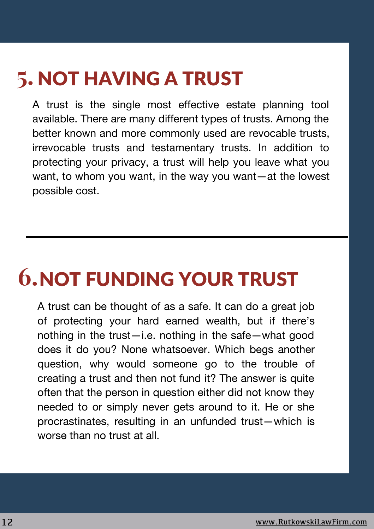## **5. NOT HAVING A TRUST**

A trust is the single most effective estate planning tool available. There are many different types of trusts. Among the better known and more commonly used are revocable trusts, irrevocable trusts and testamentary trusts. In addition to protecting your privacy, a trust will help you leave what you want, to whom you want, in the way you want—at the lowest possible cost.

## **6.**NOT FUNDING YOUR TRUST

A trust can be thought of as a safe. It can do a great job of protecting your hard earned wealth, but if there's nothing in the trust—i.e. nothing in the safe—what good does it do you? None whatsoever. Which begs another question, why would someone go to the trouble of creating a trust and then not fund it? The answer is quite often that the person in question either did not know they needed to or simply never gets around to it. He or she procrastinates, resulting in an unfunded trust—which is worse than no trust at all.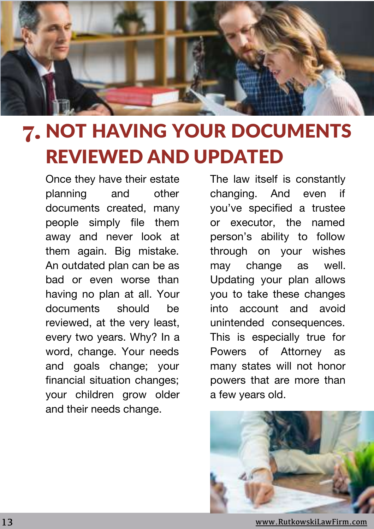

## 7. NOT HAVING YOUR DOCUMENTS REVIEWED AND UPDATED

Once they have their estate planning and other documents created, many people simply file them away and never look at them again. Big mistake. An outdated plan can be as bad or even worse than having no plan at all. Your documents should be reviewed, at the very least, every two years. Why? In a word, change. Your needs and goals change; your financial situation changes; your children grow older and their needs change.

The law itself is constantly changing. And even if you've specified a trustee or executor, the named person's ability to follow through on your wishes may change as well. Updating your plan allows you to take these changes into account and avoid unintended consequences. This is especially true for Powers of Attorney as many states will not honor powers that are more than a few years old.



13 [www.RutkowskiLawFirm.com](https://rutkowskilawfirm.com/)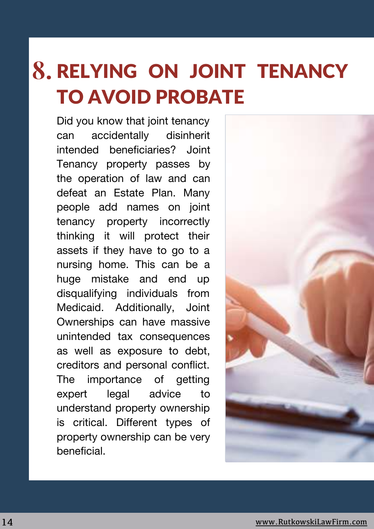## RELYING ON JOINT TENANCY **8.**TO AVOID PROBATE

Did you know that joint tenancy can accidentally disinherit intended beneficiaries? Joint Tenancy property passes by the operation of law and can defeat an Estate Plan. Many people add names on joint tenancy property incorrectly thinking it will protect their assets if they have to go to a nursing home. This can be a huge mistake and end up disqualifying individuals from Medicaid. Additionally, Joint Ownerships can have massive unintended tax consequences as well as exposure to debt, creditors and personal conflict. The importance of getting expert legal advice to understand property ownership is critical. Different types of property ownership can be very beneficial.

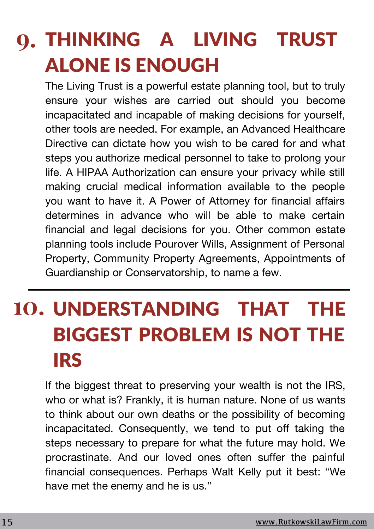## THINKING A LIVING TRUST **9.** ALONE IS ENOUGH

The Living Trust is a powerful estate planning tool, but to truly ensure your wishes are carried out should you become incapacitated and incapable of making decisions for yourself, other tools are needed. For example, an Advanced Healthcare Directive can dictate how you wish to be cared for and what steps you authorize medical personnel to take to prolong your life. A HIPAA Authorization can ensure your privacy while still making crucial medical information available to the people you want to have it. A Power of Attorney for financial affairs determines in advance who will be able to make certain financial and legal decisions for you. Other common estate planning tools include Pourover Wills, Assignment of Personal Property, Community Property Agreements, Appointments of Guardianship or Conservatorship, to name a few.

# **10.** UNDERSTANDING THAT THE BIGGEST PROBLEM IS NOT THE IRS

If the biggest threat to preserving your wealth is not the IRS. who or what is? Frankly, it is human nature. None of us wants to think about our own deaths or the possibility of becoming incapacitated. Consequently, we tend to put off taking the steps necessary to prepare for what the future may hold. We procrastinate. And our loved ones often suffer the painful financial consequences. Perhaps Walt Kelly put it best: "We have met the enemy and he is us."